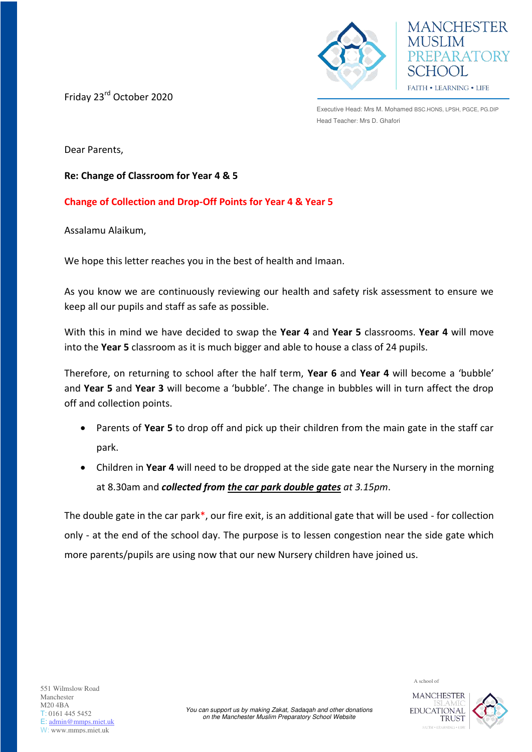

Friday 23rd October 2020

Executive Head: Mrs M. Mohamed BSC.HONS, LPSH, PGCE, PG.DIP Head Teacher: Mrs D. Ghafori

**MANCHESTER** 

REPARATORY

CHOOL FAITH . LEARNING . LIFE

Dear Parents,

**Re: Change of Classroom for Year 4 & 5** 

## **Change of Collection and Drop-Off Points for Year 4 & Year 5**

Assalamu Alaikum,

We hope this letter reaches you in the best of health and Imaan.

As you know we are continuously reviewing our health and safety risk assessment to ensure we keep all our pupils and staff as safe as possible.

With this in mind we have decided to swap the **Year 4** and **Year 5** classrooms. **Year 4** will move into the **Year 5** classroom as it is much bigger and able to house a class of 24 pupils.

Therefore, on returning to school after the half term, **Year 6** and **Year 4** will become a 'bubble' and **Year 5** and **Year 3** will become a 'bubble'. The change in bubbles will in turn affect the drop off and collection points.

- Parents of **Year 5** to drop off and pick up their children from the main gate in the staff car park.
- Children in **Year 4** will need to be dropped at the side gate near the Nursery in the morning at 8.30am and *collected from the car park double gates at 3.15pm*.

The double gate in the car park\*, our fire exit, is an additional gate that will be used - for collection only - at the end of the school day. The purpose is to lessen congestion near the side gate which more parents/pupils are using now that our new Nursery children have joined us.

EDUCATIONAL

**TRUST**